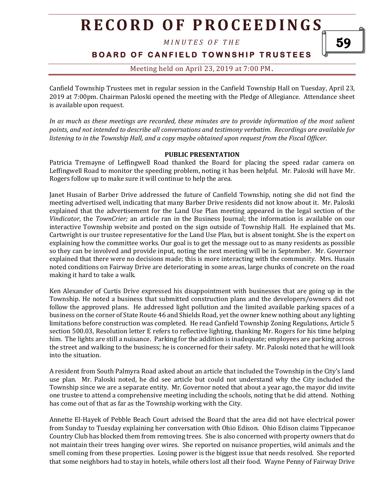*M I N U T E S O F T H E* 

**BOARD OF CANFIELD TOWNSHIP TRUSTEES** 

59

### Meeting held on April 23, 2019 at 7:00 PM**.**

Canfield Township Trustees met in regular session in the Canfield Township Hall on Tuesday, April 23, 2019 at 7:00pm. Chairman Paloski opened the meeting with the Pledge of Allegiance. Attendance sheet is available upon request.

*In as much as these meetings are recorded, these minutes are to provide information of the most salient points, and not intended to describe all conversations and testimony verbatim. Recordings are available for listening to in the Township Hall, and a copy maybe obtained upon request from the Fiscal Officer.* 

#### **PUBLIC PRESENTATION**

Patricia Tremayne of Leffingwell Road thanked the Board for placing the speed radar camera on Leffingwell Road to monitor the speeding problem, noting it has been helpful. Mr. Paloski will have Mr. Rogers follow up to make sure it will continue to help the area.

Janet Husain of Barber Drive addressed the future of Canfield Township, noting she did not find the meeting advertised well, indicating that many Barber Drive residents did not know about it. Mr. Paloski explained that the advertisement for the Land Use Plan meeting appeared in the legal section of the *Vindicator*, the *TownCrier;* an article ran in the Business Journal; the information is available on our interactive Township website and posted on the sign outside of Township Hall. He explained that Ms. Cartwright is our trustee representative for the Land Use Plan, but is absent tonight. She is the expert on explaining how the committee works. Our goal is to get the message out to as many residents as possible so they can be involved and provide input, noting the next meeting will be in September. Mr. Governor explained that there were no decisions made; this is more interacting with the community. Mrs. Husain noted conditions on Fairway Drive are deteriorating in some areas, large chunks of concrete on the road making it hard to take a walk.

Ken Alexander of Curtis Drive expressed his disappointment with businesses that are going up in the Township. He noted a business that submitted construction plans and the developers/owners did not follow the approved plans. He addressed light pollution and the limited available parking spaces of a business on the corner of State Route 46 and Shields Road, yet the owner knew nothing about any lighting limitations before construction was completed. He read Canfield Township Zoning Regulations, Article 5 section 500.03, Resolution letter E refers to reflective lighting, thanking Mr. Rogers for his time helping him. The lights are still a nuisance. Parking for the addition is inadequate; employees are parking across the street and walking to the business; he is concerned for their safety. Mr. Paloski noted that he will look into the situation.

A resident from South Palmyra Road asked about an article that included the Township in the City's land use plan. Mr. Paloski noted, he did see article but could not understand why the City included the Township since we are a separate entity. Mr. Governor noted that about a year ago, the mayor did invite one trustee to attend a comprehensive meeting including the schools, noting that he did attend. Nothing has come out of that as far as the Township working with the City.

Annette El-Hayek of Pebble Beach Court advised the Board that the area did not have electrical power from Sunday to Tuesday explaining her conversation with Ohio Edison. Ohio Edison claims Tippecanoe Country Club has blocked them from removing trees. She is also concerned with property owners that do not maintain their trees hanging over wires. She reported on nuisance properties, wild animals and the smell coming from these properties. Losing power is the biggest issue that needs resolved. She reported that some neighbors had to stay in hotels, while others lost all their food. Wayne Penny of Fairway Drive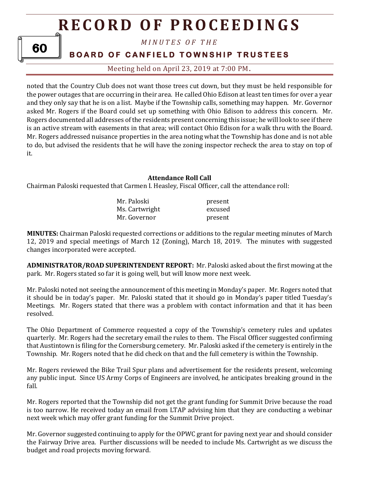#### *M I N U T E S O F T H E*

### **BOARD OF CANFIELD TOWNSHIP TRUSTEES**

Meeting held on April 23, 2019 at 7:00 PM**.**

noted that the Country Club does not want those trees cut down, but they must be held responsible for the power outages that are occurring in their area. He called Ohio Edison at least ten times for over a year and they only say that he is on a list. Maybe if the Township calls, something may happen. Mr. Governor asked Mr. Rogers if the Board could set up something with Ohio Edison to address this concern. Mr. Rogers documented all addresses of the residents present concerning this issue; he will look to see if there is an active stream with easements in that area; will contact Ohio Edison for a walk thru with the Board. Mr. Rogers addressed nuisance properties in the area noting what the Township has done and is not able to do, but advised the residents that he will have the zoning inspector recheck the area to stay on top of it.

#### **Attendance Roll Call**

Chairman Paloski requested that Carmen I. Heasley, Fiscal Officer, call the attendance roll:

| Mr. Paloski    | present |
|----------------|---------|
| Ms. Cartwright | excused |
| Mr. Governor   | present |

**MINUTES:** Chairman Paloski requested corrections or additions to the regular meeting minutes of March 12, 2019 and special meetings of March 12 (Zoning), March 18, 2019. The minutes with suggested changes incorporated were accepted.

**ADMINISTRATOR/ROAD SUPERINTENDENT REPORT:** Mr. Paloski asked about the first mowing at the park. Mr. Rogers stated so far it is going well, but will know more next week.

Mr. Paloski noted not seeing the announcement of this meeting in Monday's paper. Mr. Rogers noted that it should be in today's paper. Mr. Paloski stated that it should go in Monday's paper titled Tuesday's Meetings. Mr. Rogers stated that there was a problem with contact information and that it has been resolved.

The Ohio Department of Commerce requested a copy of the Township's cemetery rules and updates quarterly. Mr. Rogers had the secretary email the rules to them. The Fiscal Officer suggested confirming that Austintown is filing for the Cornersburg cemetery. Mr. Paloski asked if the cemetery is entirely in the Township. Mr. Rogers noted that he did check on that and the full cemetery is within the Township.

Mr. Rogers reviewed the Bike Trail Spur plans and advertisement for the residents present, welcoming any public input. Since US Army Corps of Engineers are involved, he anticipates breaking ground in the fall.

Mr. Rogers reported that the Township did not get the grant funding for Summit Drive because the road is too narrow. He received today an email from LTAP advising him that they are conducting a webinar next week which may offer grant funding for the Summit Drive project.

Mr. Governor suggested continuing to apply for the OPWC grant for paving next year and should consider the Fairway Drive area. Further discussions will be needed to include Ms. Cartwright as we discuss the budget and road projects moving forward.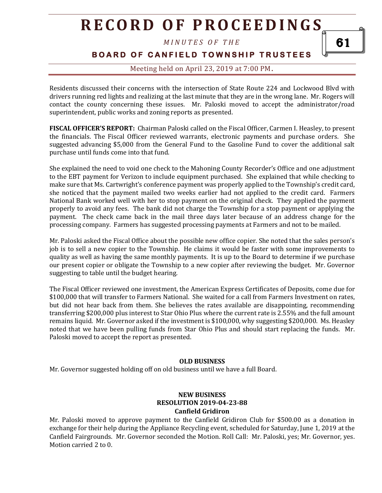*M I N U T E S O F T H E* 

**BOARD OF CANFIELD TOWNSHIP TRUSTEES** 

Meeting held on April 23, 2019 at 7:00 PM**.**

Residents discussed their concerns with the intersection of State Route 224 and Lockwood Blvd with drivers running red lights and realizing at the last minute that they are in the wrong lane. Mr. Rogers will contact the county concerning these issues. Mr. Paloski moved to accept the administrator/road superintendent, public works and zoning reports as presented.

**FISCAL OFFICER'S REPORT:** Chairman Paloski called on the Fiscal Officer, Carmen I. Heasley, to present the financials. The Fiscal Officer reviewed warrants, electronic payments and purchase orders. She suggested advancing \$5,000 from the General Fund to the Gasoline Fund to cover the additional salt purchase until funds come into that fund.

She explained the need to void one check to the Mahoning County Recorder's Office and one adjustment to the EBT payment for Verizon to include equipment purchased. She explained that while checking to make sure that Ms. Cartwright's conference payment was properly applied to the Township's credit card, she noticed that the payment mailed two weeks earlier had not applied to the credit card. Farmers National Bank worked well with her to stop payment on the original check. They applied the payment properly to avoid any fees. The bank did not charge the Township for a stop payment or applying the payment. The check came back in the mail three days later because of an address change for the processing company. Farmers has suggested processing payments at Farmers and not to be mailed.

Mr. Paloski asked the Fiscal Office about the possible new office copier. She noted that the sales person's job is to sell a new copier to the Township. He claims it would be faster with some improvements to quality as well as having the same monthly payments. It is up to the Board to determine if we purchase our present copier or obligate the Township to a new copier after reviewing the budget. Mr. Governor suggesting to table until the budget hearing.

The Fiscal Officer reviewed one investment, the American Express Certificates of Deposits, come due for \$100,000 that will transfer to Farmers National. She waited for a call from Farmers Investment on rates, but did not hear back from them. She believes the rates available are disappointing, recommending transferring \$200,000 plus interest to Star Ohio Plus where the current rate is 2.55% and the full amount remains liquid. Mr. Governor asked if the investment is \$100,000, why suggesting \$200,000. Ms. Heasley noted that we have been pulling funds from Star Ohio Plus and should start replacing the funds. Mr. Paloski moved to accept the report as presented.

#### **OLD BUSINESS**

Mr. Governor suggested holding off on old business until we have a full Board.

#### **NEW BUSINESS RESOLUTION 2019-04-23-88 Canfield Gridiron**

Mr. Paloski moved to approve payment to the Canfield Gridiron Club for \$500.00 as a donation in exchange for their help during the Appliance Recycling event, scheduled for Saturday, June 1, 2019 at the Canfield Fairgrounds. Mr. Governor seconded the Motion. Roll Call: Mr. Paloski, yes; Mr. Governor, yes. Motion carried 2 to 0.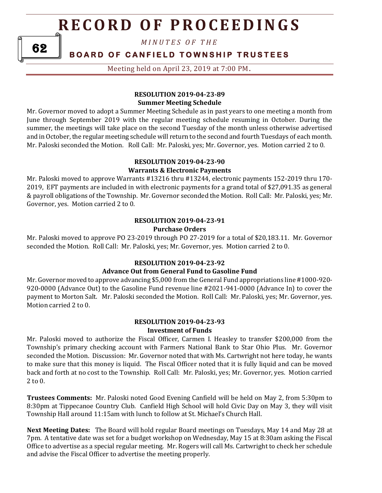*M I N U T E S O F T H E* 

### **BOARD OF CANFIELD TOWNSHIP TRUSTEES**

Meeting held on April 23, 2019 at 7:00 PM**.**

#### **RESOLUTION 2019-04-23-89 Summer Meeting Schedule**

Mr. Governor moved to adopt a Summer Meeting Schedule as in past years to one meeting a month from June through September 2019 with the regular meeting schedule resuming in October. During the summer, the meetings will take place on the second Tuesday of the month unless otherwise advertised and in October, the regular meeting schedule will return to the second and fourth Tuesdays of each month. Mr. Paloski seconded the Motion. Roll Call: Mr. Paloski, yes; Mr. Governor, yes. Motion carried 2 to 0.

### **RESOLUTION 2019-04-23-90**

#### **Warrants & Electronic Payments**

Mr. Paloski moved to approve Warrants #13216 thru #13244, electronic payments 152-2019 thru 170- 2019, EFT payments are included in with electronic payments for a grand total of \$27,091.35 as general & payroll obligations of the Township. Mr. Governor seconded the Motion. Roll Call: Mr. Paloski, yes; Mr. Governor, yes. Motion carried 2 to 0.

#### **RESOLUTION 2019-04-23-91 Purchase Orders**

Mr. Paloski moved to approve PO 23-2019 through PO 27-2019 for a total of \$20,183.11. Mr. Governor seconded the Motion. Roll Call: Mr. Paloski, yes; Mr. Governor, yes. Motion carried 2 to 0.

#### **RESOLUTION 2019-04-23-92**

### **Advance Out from General Fund to Gasoline Fund**

Mr. Governor moved to approve advancing \$5,000 from the General Fund appropriations line #1000-920- 920-0000 (Advance Out) to the Gasoline Fund revenue line #2021-941-0000 (Advance In) to cover the payment to Morton Salt. Mr. Paloski seconded the Motion. Roll Call: Mr. Paloski, yes; Mr. Governor, yes. Motion carried 2 to 0.

#### **RESOLUTION 2019-04-23-93 Investment of Funds**

Mr. Paloski moved to authorize the Fiscal Officer, Carmen I. Heasley to transfer \$200,000 from the Township's primary checking account with Farmers National Bank to Star Ohio Plus. Mr. Governor seconded the Motion. Discussion: Mr. Governor noted that with Ms. Cartwright not here today, he wants to make sure that this money is liquid. The Fiscal Officer noted that it is fully liquid and can be moved back and forth at no cost to the Township. Roll Call: Mr. Paloski, yes; Mr. Governor, yes. Motion carried 2 to 0.

**Trustees Comments:** Mr. Paloski noted Good Evening Canfield will be held on May 2, from 5:30pm to 8:30pm at Tippecanoe Country Club. Canfield High School will hold Civic Day on May 3, they will visit Township Hall around 11:15am with lunch to follow at St. Michael's Church Hall.

**Next Meeting Dates:** The Board will hold regular Board meetings on Tuesdays, May 14 and May 28 at 7pm. A tentative date was set for a budget workshop on Wednesday, May 15 at 8:30am asking the Fiscal Office to advertise as a special regular meeting. Mr. Rogers will call Ms. Cartwright to check her schedule and advise the Fiscal Officer to advertise the meeting properly.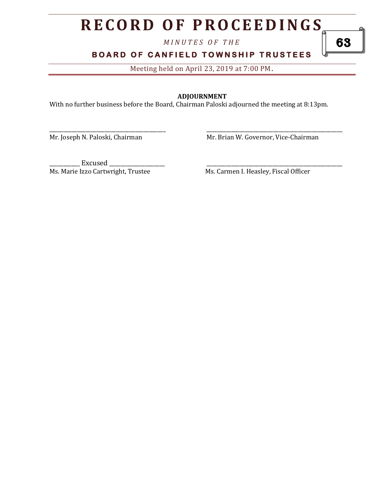*M I N U T E S O F T H E* 

**BOARD OF CANFIELD TOWNSHIP TRUSTEES** 

Meeting held on April 23, 2019 at 7:00 PM**.**

#### **ADJOURNMENT**

\_\_\_\_\_\_\_\_\_\_\_\_\_\_\_\_\_\_\_\_\_\_\_\_\_\_\_\_\_\_\_\_\_\_\_\_\_\_\_\_\_\_ \_\_\_\_\_\_\_\_\_\_\_\_\_\_\_\_\_\_\_\_\_\_\_\_\_\_\_\_\_\_\_\_\_\_\_\_\_\_\_\_\_\_\_\_\_\_\_\_\_

With no further business before the Board, Chairman Paloski adjourned the meeting at 8:13pm.

Mr. Joseph N. Paloski, Chairman Mr. Brian W. Governor, Vice-Chairman

\_\_\_\_\_\_\_\_\_\_\_ Excused \_\_\_\_\_\_\_\_\_\_\_\_\_\_\_\_\_\_\_\_ \_\_\_\_\_\_\_\_\_\_\_\_\_\_\_\_\_\_\_\_\_\_\_\_\_\_\_\_\_\_\_\_\_\_\_\_\_\_\_\_\_\_\_\_\_\_\_\_\_ Ms. Marie Izzo Cartwright, Trustee